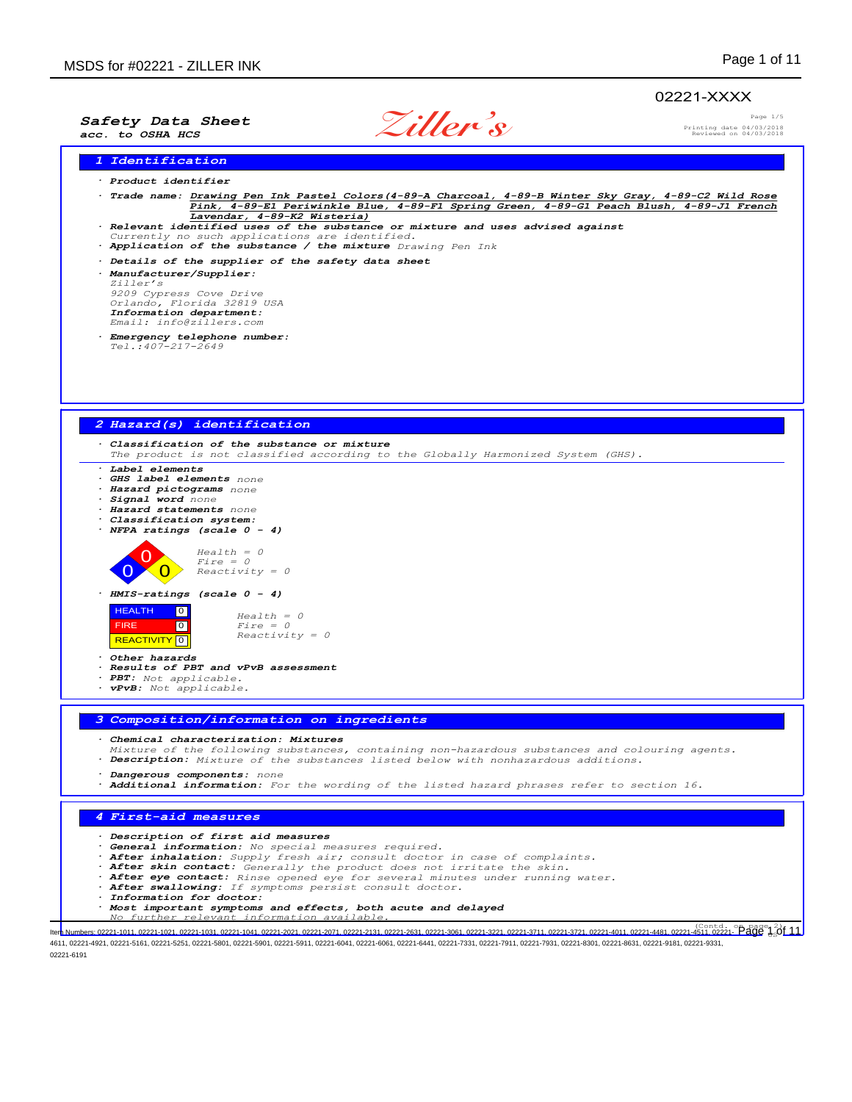# 02221-XXXX

*Safety Data Sheet acc. to OSHA HCS*

**Ziller's**

Page 1/5 Printing date 04/03/2018 Reviewed on 04/03/2018

*1 Identification*

- *· Product identifier*
- *· Trade name: Drawing Pen Ink Pastel Colors(4-89-A Charcoal, 4-89-B Winter Sky Gray, 4-89-C2 Wild Rose Pink, 4-89-E1 Periwinkle Blue, 4-89-F1 Spring Green, 4-89-G1 Peach Blush, 4-89-J1 French Lavendar, 4-89-K2 Wisteria)*
- *· Relevant identified uses of the substance or mixture and uses advised against*
- *Currently no such applications are identified. · Application of the substance / the mixture Drawing Pen Ink*
- *· Details of the supplier of the safety data sheet*
- *· Manufacturer/Supplier: Ziller's 9209 Cypress Cove Drive Orlando, Florida 32819 USA Information department: Email: info@zillers.com*
- *· Emergency telephone number: Tel.:407-217-2649*



4611, 02221-4921, 02221-5161, 02221-5251, 02221-5801, 02221-5901, 02221-5911, 02221-6041, 02221-6061, 02221-6441, 02221-7331, 02221-7911, 02221-7931, 02221-8301, 02221-8631, 02221-8181, 02221-931, 02221-931, 02221-9381, 022 02221-6191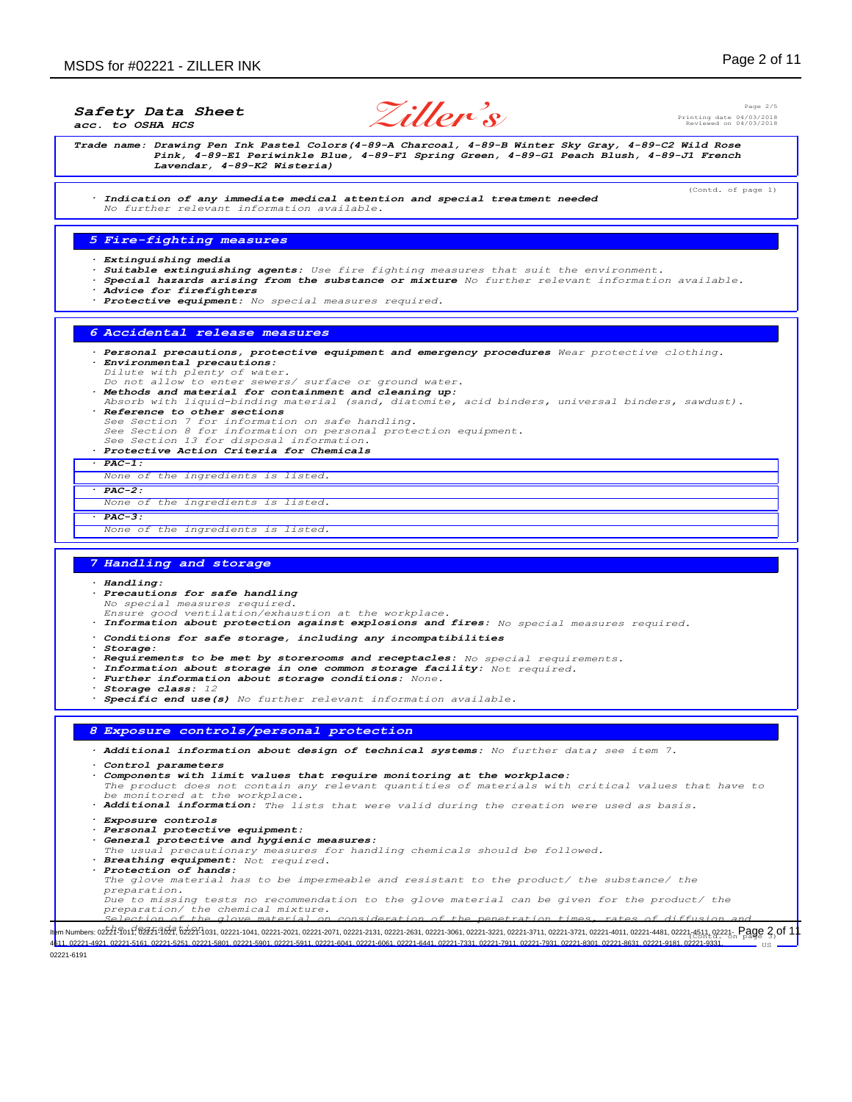*Safety Data Sheet*

*acc. to OSHA HCS*

**Ziller's**

Page 2/5 Printing date 04/03/2018 Reviewed on 04/03/2018

(Contd. of page 1)

*Trade name: Drawing Pen Ink Pastel Colors(4-89-A Charcoal, 4-89-B Winter Sky Gray, 4-89-C2 Wild Rose Pink, 4-89-E1 Periwinkle Blue, 4-89-F1 Spring Green, 4-89-G1 Peach Blush, 4-89-J1 French Lavendar, 4-89-K2 Wisteria)*

*· Indication of any immediate medical attention and special treatment needed No further relevant information available.*

## *5 Fire-fighting measures*

- *· Extinguishing media*
- *· Suitable extinguishing agents: Use fire fighting measures that suit the environment.*
- *· Special hazards arising from the substance or mixture No further relevant information available.*
- *· Advice for firefighters*
- *· Protective equipment: No special measures required.*

## *6 Accidental release measures*

- *· Personal precautions, protective equipment and emergency procedures Wear protective clothing. · Environmental precautions:*
- 
- *Dilute with plenty of water. Do not allow to enter sewers/ surface or ground water.*
- *· Methods and material for containment and cleaning up: Absorb with liquid-binding material (sand, diatomite, acid binders, universal binders, sawdust). · Reference to other sections*
- *See Section 7 for information on safe handling. See Section 8 for information on personal protection equipment. See Section 13 for disposal information.*
- 
- *· Protective Action Criteria for Chemicals*
- *· PAC-1:*
- *None of the ingredients is listed.*
- *· PAC-2: None of the ingredients is listed.*
- *· PAC-3:*

#### *None of the ingredients is listed.*

### *7 Handling and storage*

*· Handling: · Precautions for safe handling No special measures required. Ensure good ventilation/exhaustion at the workplace. · Information about protection against explosions and fires: No special measures required. · Conditions for safe storage, including any incompatibilities · Storage: · Requirements to be met by storerooms and receptacles: No special requirements. · Information about storage in one common storage facility: Not required. · Further information about storage conditions: None. · Storage class: 12 · Specific end use(s) No further relevant information available. 8 Exposure controls/personal protection · Additional information about design of technical systems: No further data; see item 7. · Control parameters · Components with limit values that require monitoring at the workplace: The product does not contain any relevant quantities of materials with critical values that have to be monitored at the workplace. · Additional information: The lists that were valid during the creation were used as basis. · Exposure controls · Personal protective equipment: · General protective and hygienic measures: The usual precautionary measures for handling chemicals should be followed. · Breathing equipment: Not required. · Protection of hands: The glove material has to be impermeable and resistant to the product/ the substance/ the preparation. Due to missing tests no recommendation to the glove material can be given for the product/ the*

*preparation/ the chemical mixture. Selection of the glove material on consideration of the penetration times, rates of diffusion and*

11. Numbers: 022476017624761627. 6224-031, 02221-1041, 02221-2021, 02221-2071, 02221-2131, 02221-2631, 02221-3681, 02221-3721, 02221-3721, 02221-3721, 02221-4011, 02221-4081, 02221-4511, 02221-4511, 02221-4511, 02221-4511 US 02221-4921, 02221-5161, 02221-5251, 02221-5801, 02221-5901, 02221-6041, 02221-6061, 02221-6441, 02221-7331, 02221-7931, 02221-7931, 02221-8301, 02221-8631, 02221-9181,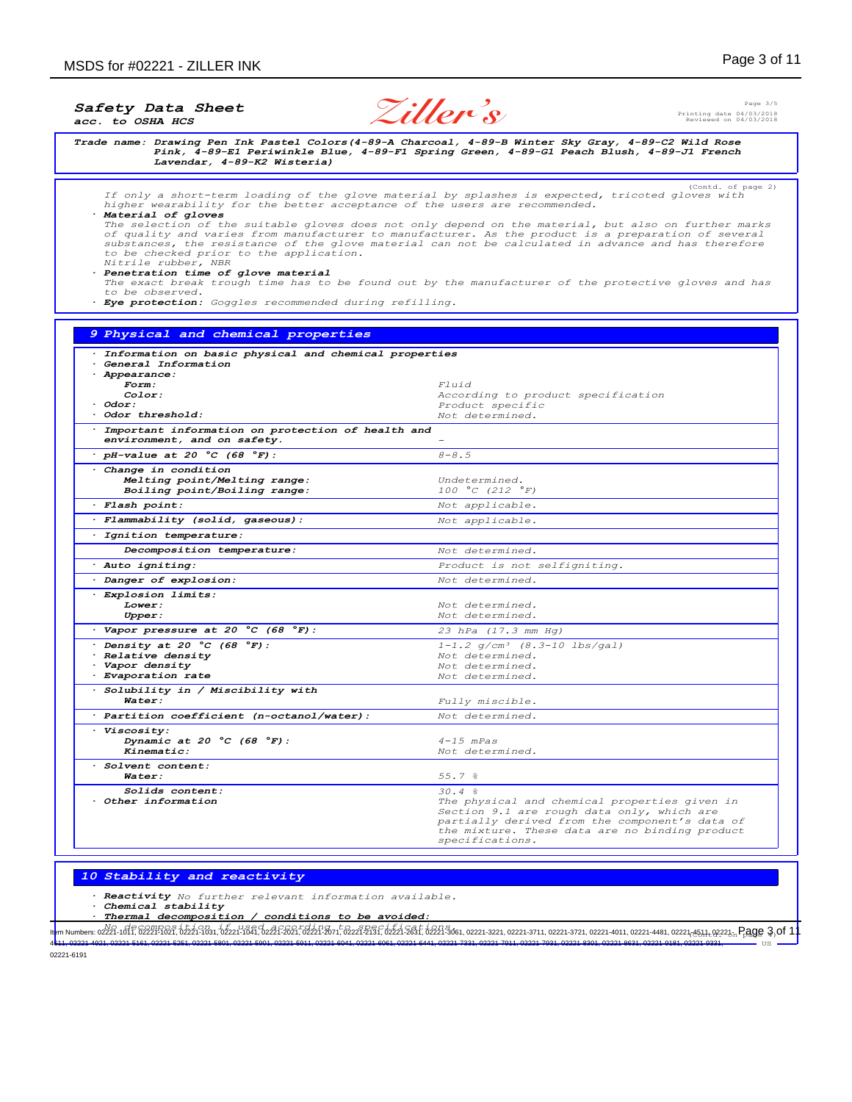Page 3/5 Printing date 04/03/2018 Reviewed on 04/03/2018

(Contd. of page 2)

*Trade name: Drawing Pen Ink Pastel Colors(4-89-A Charcoal, 4-89-B Winter Sky Gray, 4-89-C2 Wild Rose Pink, 4-89-E1 Periwinkle Blue, 4-89-F1 Spring Green, 4-89-G1 Peach Blush, 4-89-J1 French Lavendar, 4-89-K2 Wisteria)*

**Ziller's**

*If only a short-term loading of the glove material by splashes is expected, tricoted gloves with higher wearability for the better acceptance of the users are recommended. · Material of gloves The selection of the suitable gloves does not only depend on the material, but also on further marks of quality and varies from manufacturer to manufacturer. As the product is a preparation of several substances, the resistance of the glove material can not be calculated in advance and has therefore to be checked prior to the application. Nitrile rubber, NBR · Penetration time of glove material The exact break trough time has to be found out by the manufacturer of the protective gloves and has to be observed.*

*· Eye protection: Goggles recommended during refilling.*

## *9 Physical and chemical properties · Information on basic physical and chemical properties · General Information · Appearance: Form: Fluid Color: According to product specification Odor: Product specific Product specific Product specific Product specific · Odor threshold: Not determined. · Important information on protection of health and environment, and on safety. - · pH-value at 20 °C (68 °F): 8-8.5 · Change in condition Melting point/Melting range: Undetermined.*  $B oiling point/B oiling range$ *· Flash point: Not applicable. · Flammability (solid, gaseous): Not applicable. · Ignition temperature: Decomposition temperature: Not determined. · Auto igniting: Product is not selfigniting. · Danger of explosion: Not determined.*  $\frac{1}{2}$ *Explosion limits:* **Lower:** Not determined.<br> **Upper:** Not determined. *Upper: Not determined. · Vapor pressure at 20 °C (68 °F): 23 hPa (17.3 mm Hg) · Density at 20 °C (68 °F): 1-1.2 g/cm³ (8.3-10 lbs/gal) <i>P* Relative density *Vapor density Proportion rate Proportion rate Proportion rate Not determined.*  $E$ *vaporation rate · Solubility in / Miscibility with*  $Fully$  *miscible*. *· Partition coefficient (n-octanol/water): Not determined. · Viscosity: Dynamic at 20 °C (68 °F): 4-15 mPas Kinematic: Not determined. · Solvent content: Water: 55.7 %* **Solids content:**  $30.4 %$ <br> **Other information** The physical Superior of the physical Superior Superior Superior Superior Superior Superior Superior Superior Superior Superior Superior Superior Superior Superior Superior Su The physical and chemical properties given in *Section 9.1 are rough data only, which are partially derived from the component's data of the mixture. These data are no binding product specifications.*

# *10 Stability and reactivity*

*· Reactivity No further relevant information available.*

*· Chemical stability*

*· Thermal decomposition / conditions to be avoided:*

No decomposition if used according to specifications.<br><mark>h</mark>em Numbers:02221-1011,02221-1021,02221-1021,02221-1041,02221-2021,02221-2021,02221-2031,02221-2031,02221-333,0221-3031,02221-3021,02221-3721,02221-3721,02221-3721,0 US 4611, 02221-4921, 02221-5161, 02221-5251, 02221-5801, 02221-5901, 02221-5911, 02221-6041, 02221-6061, 02221-6441, 02221-7331, 02221-7911, 02221-7931, 02221-8301, 02221-8631, 02221-9181, 02221-9331,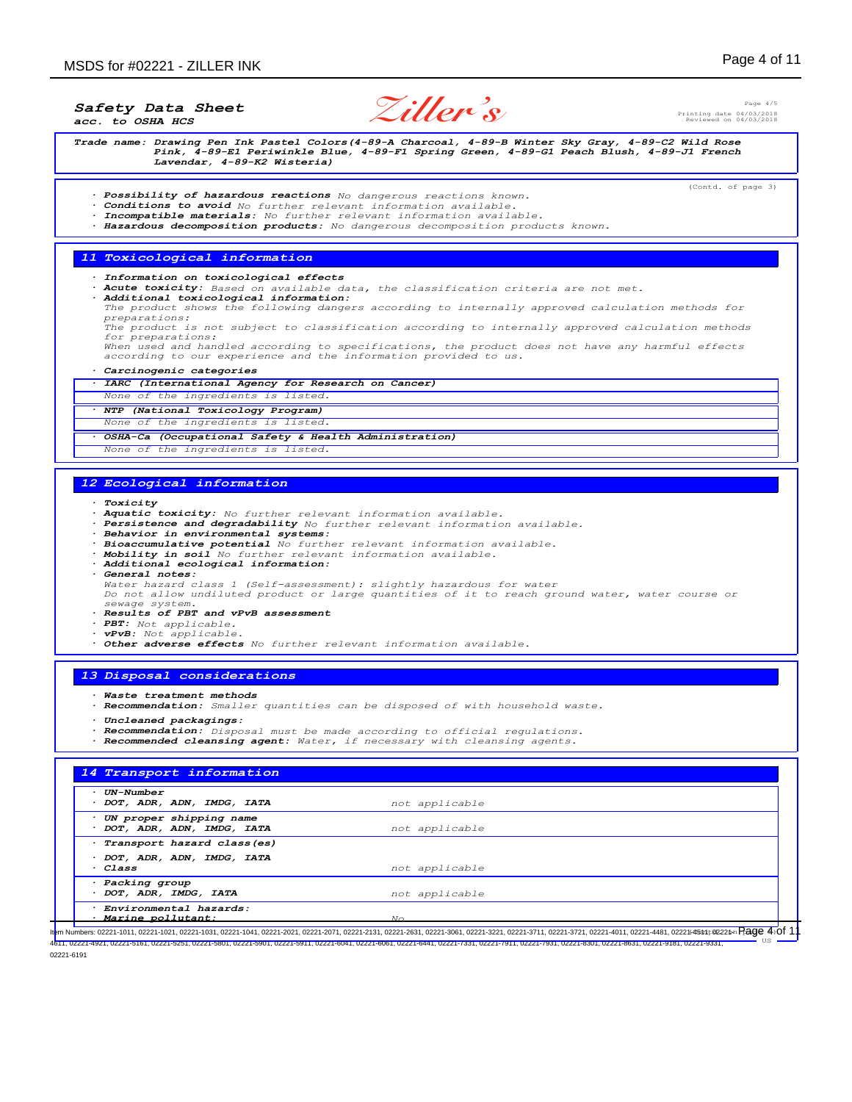Page 4/5 Printing date 04/03/2018 Reviewed on 04/03/2018

(Contd. of page 3)

*Safety Data Sheet acc. to OSHA HCS*

**Ziller's**

*Trade name: Drawing Pen Ink Pastel Colors(4-89-A Charcoal, 4-89-B Winter Sky Gray, 4-89-C2 Wild Rose Pink, 4-89-E1 Periwinkle Blue, 4-89-F1 Spring Green, 4-89-G1 Peach Blush, 4-89-J1 French Lavendar, 4-89-K2 Wisteria)*

- *· Possibility of hazardous reactions No dangerous reactions known.*
- *· Conditions to avoid No further relevant information available.*
- *· Incompatible materials: No further relevant information available.*
- *· Hazardous decomposition products: No dangerous decomposition products known.*

#### *11 Toxicological information*

*· Information on toxicological effects*

- *· Acute toxicity: Based on available data, the classification criteria are not met. · Additional toxicological information:*
- *The product shows the following dangers according to internally approved calculation methods for preparations: The product is not subject to classification according to internally approved calculation methods*

*for preparations:*

*When used and handled according to specifications, the product does not have any harmful effects according to our experience and the information provided to us.*

### *· Carcinogenic categories*

- *· IARC (International Agency for Research on Cancer) None of the ingredients is listed.*
- *· NTP (National Toxicology Program)*

*None of the ingredients is listed.*

- 
- *· OSHA-Ca (Occupational Safety & Health Administration)*
- *None of the ingredients is listed.*

## *12 Ecological information*

- *· Toxicity*
- *· Aquatic toxicity: No further relevant information available.*
- *· Persistence and degradability No further relevant information available. · Behavior in environmental systems:*
- 
- *· Bioaccumulative potential No further relevant information available.*
- *· Mobility in soil No further relevant information available.*
- *· Additional ecological information:*
- *· General notes: Water hazard class 1 (Self-assessment): slightly hazardous for water Do not allow undiluted product or large quantities of it to reach ground water, water course or*
- *sewage system. · Results of PBT and vPvB assessment*
- *· PBT: Not applicable.*
- *· vPvB: Not applicable.*
- *· Other adverse effects No further relevant information available.*

#### *13 Disposal considerations*

- *· Waste treatment methods*
- *· Recommendation: Smaller quantities can be disposed of with household waste.*
- *· Uncleaned packagings:*
- *· Recommendation: Disposal must be made according to official regulations.*
- *· Recommended cleansing agent: Water, if necessary with cleansing agents.*

## *14 Transport information · UN-Number · DOT, ADR, ADN, IMDG, IATA not applicable · UN proper shipping name · DOT, ADR, ADN, IMDG, IATA not applicable · Transport hazard class(es) · DOT, ADR, ADN, IMDG, IATA · Class not applicable · Packing group · DOT, ADR, IMDG, IATA not applicable · Environmental hazards: · Marine pollutant: No*

ltpm Numbers: 02221-1011, 02221-1021, 02221-1031, 02221-1041, 02221-2021, 02221-2071, 02221-2131, 02221-2331, 02221-3681, 02221-3221, 02221-3721, 02221-3721, 02221-4011, 02221-4481, 02221-48811; 02224∞ Rage 4.01 1 US 4611, 02221-4921, 02221-5161, 02221-5251, 02221-5801, 02221-5901, 02221-5911, 02221-6041, 02221-6061, 02221-6441, 02221-7331, 02221-7911, 02221-7931, 02221-8301, 02221-8631, 02221-9181, 02221-9331, 02221-6191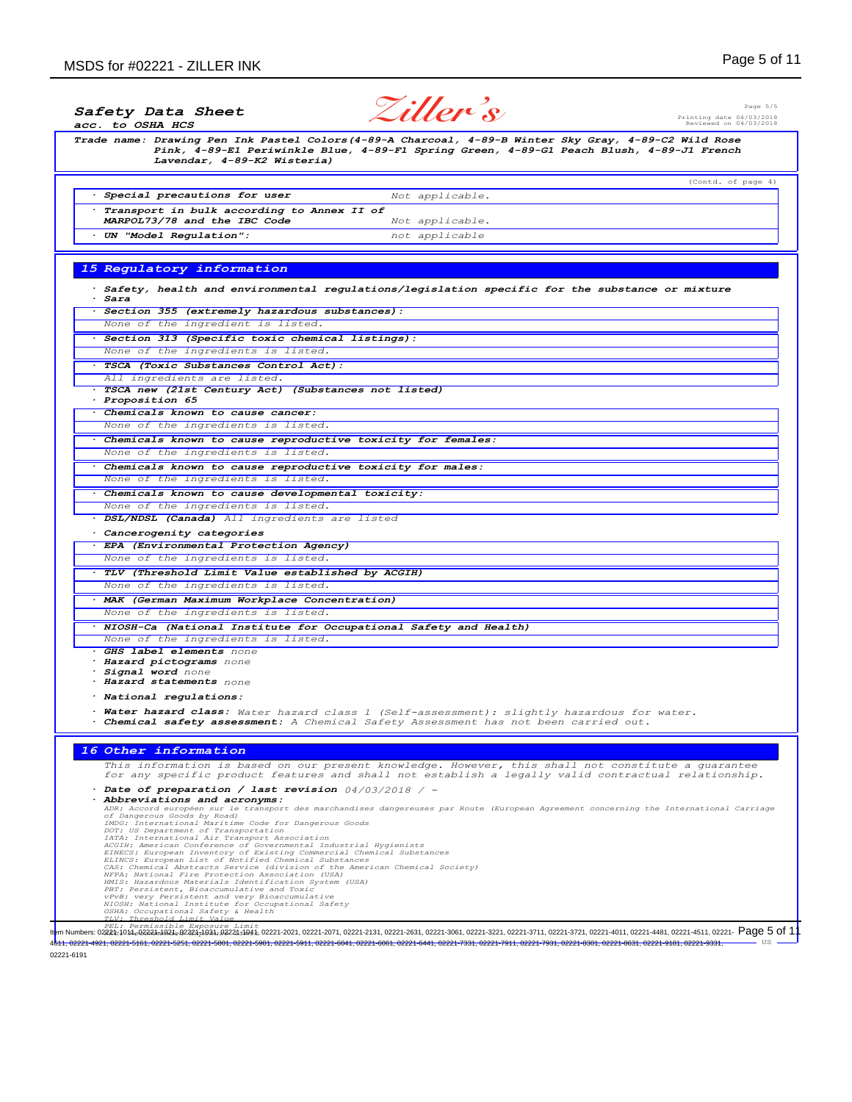| acc. to OSHA HCS | <i>Ziller's</i><br>Page $5/5$<br><i>Safety Data Sheet</i><br>Printing date 04/03/2018<br>Reviewed on 04/03/2018                                                                                                                                                                                                                                                                                                                                                                          |
|------------------|------------------------------------------------------------------------------------------------------------------------------------------------------------------------------------------------------------------------------------------------------------------------------------------------------------------------------------------------------------------------------------------------------------------------------------------------------------------------------------------|
|                  | Trade name: Drawing Pen Ink Pastel Colors(4-89-A Charcoal, 4-89-B Winter Sky Gray, 4-89-C2 Wild Rose<br>Pink, 4-89-El Periwinkle Blue, 4-89-Fl Spring Green, 4-89-Gl Peach Blush, 4-89-Jl French<br>Lavendar, 4-89-K2 Wisteria)                                                                                                                                                                                                                                                          |
|                  | (Contd. of page 4)                                                                                                                                                                                                                                                                                                                                                                                                                                                                       |
|                  | · Special precautions for user<br>Not applicable.                                                                                                                                                                                                                                                                                                                                                                                                                                        |
|                  | Transport in bulk according to Annex II of<br>MARPOL73/78 and the IBC Code                                                                                                                                                                                                                                                                                                                                                                                                               |
|                  | Not applicable.<br>· UN "Model Regulation":<br>not applicable                                                                                                                                                                                                                                                                                                                                                                                                                            |
|                  |                                                                                                                                                                                                                                                                                                                                                                                                                                                                                          |
|                  | 15 Regulatory information                                                                                                                                                                                                                                                                                                                                                                                                                                                                |
|                  |                                                                                                                                                                                                                                                                                                                                                                                                                                                                                          |
| · Sara           | $\cdot$ Safety, health and environmental regulations/legislation specific for the substance or mixture                                                                                                                                                                                                                                                                                                                                                                                   |
|                  | · Section 355 (extremely hazardous substances):                                                                                                                                                                                                                                                                                                                                                                                                                                          |
|                  | None of the ingredient is listed.                                                                                                                                                                                                                                                                                                                                                                                                                                                        |
|                  | · Section 313 (Specific toxic chemical listings):                                                                                                                                                                                                                                                                                                                                                                                                                                        |
|                  | None of the ingredients is listed.                                                                                                                                                                                                                                                                                                                                                                                                                                                       |
|                  | · TSCA (Toxic Substances Control Act):<br>All ingredients are listed.                                                                                                                                                                                                                                                                                                                                                                                                                    |
|                  | · TSCA new (21st Century Act) (Substances not listed)                                                                                                                                                                                                                                                                                                                                                                                                                                    |
| · Proposition 65 |                                                                                                                                                                                                                                                                                                                                                                                                                                                                                          |
|                  | . Chemicals known to cause cancer:<br>None of the ingredients is listed.                                                                                                                                                                                                                                                                                                                                                                                                                 |
|                  | . Chemicals known to cause reproductive toxicity for females:                                                                                                                                                                                                                                                                                                                                                                                                                            |
|                  | None of the ingredients is listed.                                                                                                                                                                                                                                                                                                                                                                                                                                                       |
|                  | . Chemicals known to cause reproductive toxicity for males:                                                                                                                                                                                                                                                                                                                                                                                                                              |
|                  | None of the ingredients is listed.                                                                                                                                                                                                                                                                                                                                                                                                                                                       |
|                  | . Chemicals known to cause developmental toxicity:                                                                                                                                                                                                                                                                                                                                                                                                                                       |
|                  | None of the ingredients is listed.                                                                                                                                                                                                                                                                                                                                                                                                                                                       |
|                  | · DSL/NDSL (Canada) All ingredients are listed<br>Cancerogenity categories                                                                                                                                                                                                                                                                                                                                                                                                               |
|                  | · EPA (Environmental Protection Agency)                                                                                                                                                                                                                                                                                                                                                                                                                                                  |
|                  | None of the ingredients is listed.                                                                                                                                                                                                                                                                                                                                                                                                                                                       |
|                  | . TLV (Threshold Limit Value established by ACGIH)                                                                                                                                                                                                                                                                                                                                                                                                                                       |
|                  | None of the ingredients is listed.                                                                                                                                                                                                                                                                                                                                                                                                                                                       |
|                  | · MAK (German Maximum Workplace Concentration)                                                                                                                                                                                                                                                                                                                                                                                                                                           |
|                  | None of the ingredients is listed.<br>· NIOSH-Ca (National Institute for Occupational Safety and Health)                                                                                                                                                                                                                                                                                                                                                                                 |
|                  | None of the ingredients is listed.                                                                                                                                                                                                                                                                                                                                                                                                                                                       |
|                  | · GHS label elements none                                                                                                                                                                                                                                                                                                                                                                                                                                                                |
|                  | · Hazard pictograms none<br>· Signal word none                                                                                                                                                                                                                                                                                                                                                                                                                                           |
|                  | · Hazard statements none                                                                                                                                                                                                                                                                                                                                                                                                                                                                 |
|                  | · National regulations:                                                                                                                                                                                                                                                                                                                                                                                                                                                                  |
| ٠                | Water hazard class: Water hazard class 1 (Self-assessment): slightly hazardous for water.<br>Chemical safety assessment: A Chemical Safety Assessment has not been carried out.                                                                                                                                                                                                                                                                                                          |
|                  | 16 Other information                                                                                                                                                                                                                                                                                                                                                                                                                                                                     |
|                  | This information is based on our present knowledge. However, this shall not constitute a guarantee<br>for any specific product features and shall not establish a legally valid contractual relationship.                                                                                                                                                                                                                                                                                |
|                  | $\cdot$ Date of preparation / last revision 04/03/2018 / -<br>Abbreviations and acronyms:<br>ADR: Accord européen sur le transport des marchandises dangereuses par Route (European Agreement concerning the International Carriage<br>of Dangerous Goods by Road)<br>IMDG: International Maritime Code for Dangerous Goods<br>DOT: US Department of Transportation<br>IATA: International Air Transport Association<br>ACGIH: American Conference of Governmental Industrial Hygienists |
|                  | EINECS: European Inventory of Existing Commercial Chemical Substances<br>ELINCS: European List of Notified Chemical Substances<br>CAS: Chemical Abstracts Service (division of the American Chemical Society)<br>NFPA: National Fire Protection Association (USA)<br>HMIS: Hazardous Materials Identification System (USA)<br>PBT: Persistent, Bioaccumulative and Toxic<br>vPvB: very Persistent and very Bioaccumulative<br>NIOSH: National Institute for Occupational Safety          |
|                  | OSHA: Occupational Safety & Health<br>TLV: Threshold Limit Val                                                                                                                                                                                                                                                                                                                                                                                                                           |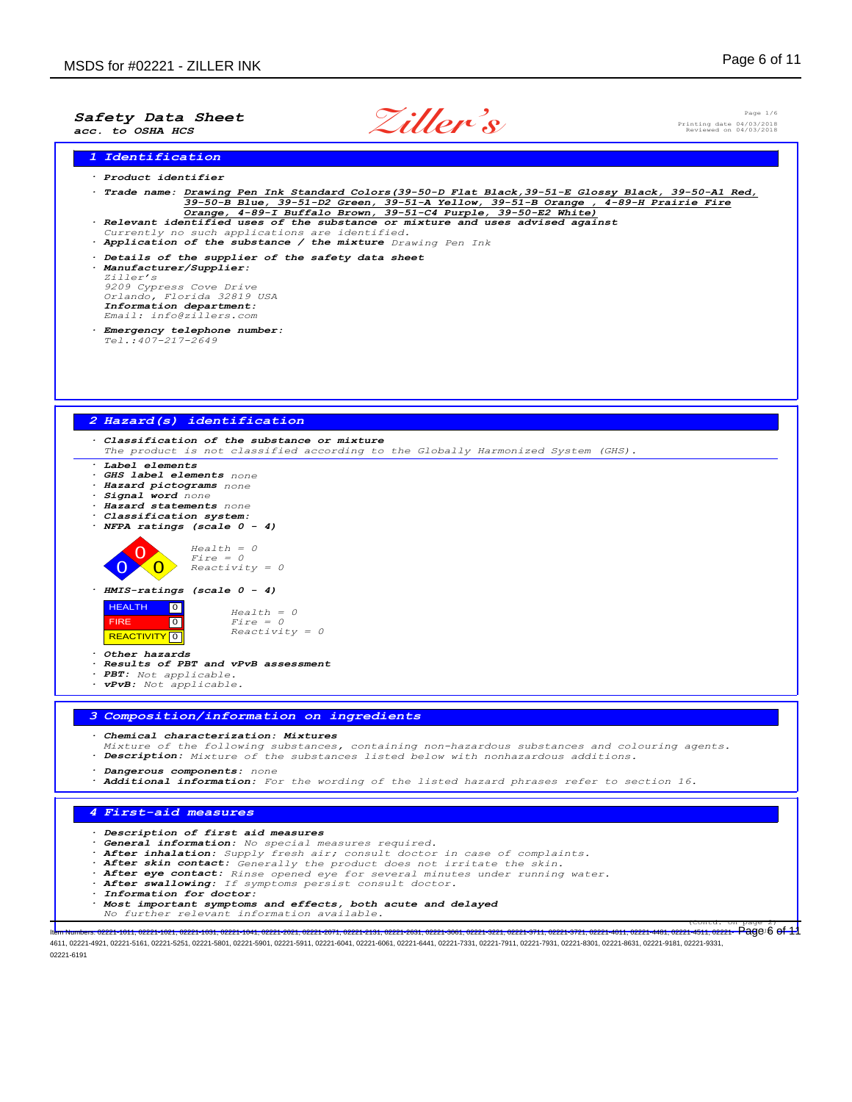

Page 1/6 Printing date 04/03/2018 Reviewed on 04/03/2018

*1 Identification*

- *· Product identifier · Trade name: Drawing Pen Ink Standard Colors(39-50-D Flat Black,39-51-E Glossy Black, 39-50-A1 Red, 39-50-B Blue, 39-51-D2 Green, 39-51-A Yellow, 39-51-B Orange , 4-89-H Prairie Fire Orange, 4-89-I Buffalo Brown, 39-51-C4 Purple, 39-50-E2 White) · Relevant identified uses of the substance or mixture and uses advised against Currently no such applications are identified. · Application of the substance / the mixture Drawing Pen Ink · Details of the supplier of the safety data sheet · Manufacturer/Supplier:*
	- *Ziller's 9209 Cypress Cove Drive Orlando, Florida 32819 USA Information department: Email: info@zillers.com*
	- *· Emergency telephone number: Tel.:407-217-2649*



4611, 02221-4921, 02221-5161, 02221-5251, 02221-5801, 02221-5901, 02221-5911, 02221-6041, 02221-6061, 02221-6441, 02221-7331, 02221-7911, 02221-7931, 02221-8301, 02221-8631, 02221-9181, 02221-9331, 02221-6191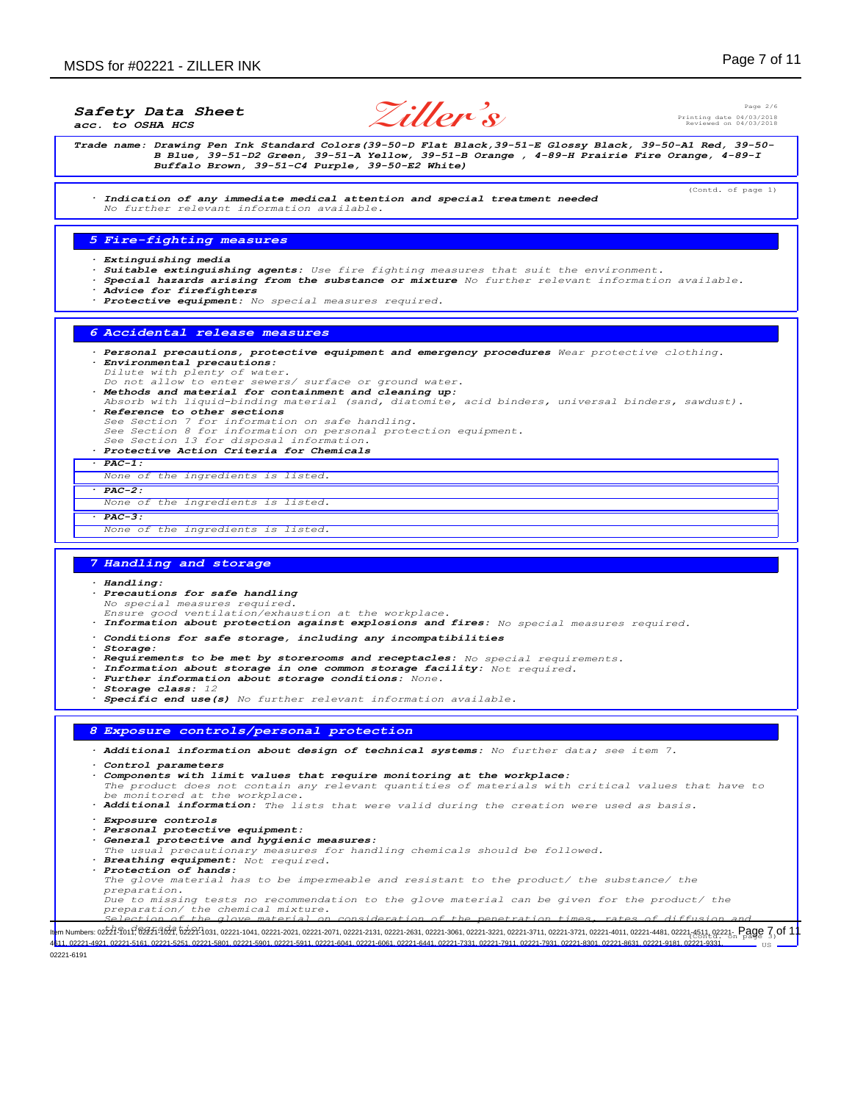*Safety Data Sheet*

*acc. to OSHA HCS*

**Ziller's**

Page 2/6 Printing date 04/03/2018 Reviewed on 04/03/2018

(Contd. of page 1)

*Trade name: Drawing Pen Ink Standard Colors(39-50-D Flat Black,39-51-E Glossy Black, 39-50-A1 Red, 39-50- B Blue, 39-51-D2 Green, 39-51-A Yellow, 39-51-B Orange , 4-89-H Prairie Fire Orange, 4-89-I Buffalo Brown, 39-51-C4 Purple, 39-50-E2 White)*

*· Indication of any immediate medical attention and special treatment needed No further relevant information available.*

## *5 Fire-fighting measures*

- *· Extinguishing media*
- *· Suitable extinguishing agents: Use fire fighting measures that suit the environment.*
- *· Special hazards arising from the substance or mixture No further relevant information available.*
- *· Advice for firefighters*
- *· Protective equipment: No special measures required.*

## *6 Accidental release measures*

- *· Personal precautions, protective equipment and emergency procedures Wear protective clothing. · Environmental precautions:*
- 
- *Dilute with plenty of water. Do not allow to enter sewers/ surface or ground water.*
- *· Methods and material for containment and cleaning up: Absorb with liquid-binding material (sand, diatomite, acid binders, universal binders, sawdust). · Reference to other sections*
- *See Section 7 for information on safe handling. See Section 8 for information on personal protection equipment. See Section 13 for disposal information.*
- 
- *· Protective Action Criteria for Chemicals · PAC-1:*
- *None of the ingredients is listed.*

#### *· PAC-2:*

- *None of the ingredients is listed.*
- *· PAC-3:*

#### *None of the ingredients is listed.*

### *7 Handling and storage*

*· Handling: · Precautions for safe handling No special measures required. Ensure good ventilation/exhaustion at the workplace. · Information about protection against explosions and fires: No special measures required. · Conditions for safe storage, including any incompatibilities · Storage: · Requirements to be met by storerooms and receptacles: No special requirements. · Information about storage in one common storage facility: Not required. · Further information about storage conditions: None. · Storage class: 12 · Specific end use(s) No further relevant information available. 8 Exposure controls/personal protection · Additional information about design of technical systems: No further data; see item 7. · Control parameters · Components with limit values that require monitoring at the workplace: The product does not contain any relevant quantities of materials with critical values that have to be monitored at the workplace. · Additional information: The lists that were valid during the creation were used as basis. · Exposure controls · Personal protective equipment: · General protective and hygienic measures: The usual precautionary measures for handling chemicals should be followed. · Breathing equipment: Not required. · Protection of hands: The glove material has to be impermeable and resistant to the product/ the substance/ the preparation. Due to missing tests no recommendation to the glove material can be given for the product/ the*

*preparation/ the chemical mixture. Selection of the glove material on consideration of the penetration times, rates of diffusion and*

11. Numbers: 022476017624761627. 6224-031, 02221-1041, 02221-2021, 02221-2071, 02221-2131, 02221-2631, 02221-3681, 02221-3721, 02221-3721, 02221-3721, 02221-4011, 02221-4081, 02221-4511, 02221-4511, 02221-4511, 02221-4511 US 02221-4921, 02221-5161, 02221-5251, 02221-5801, 02221-5901, 02221-6041, 02221-6061, 02221-6441, 02221-7331, 02221-7931, 02221-7931, 02221-8301, 02221-8631, 02221-9181,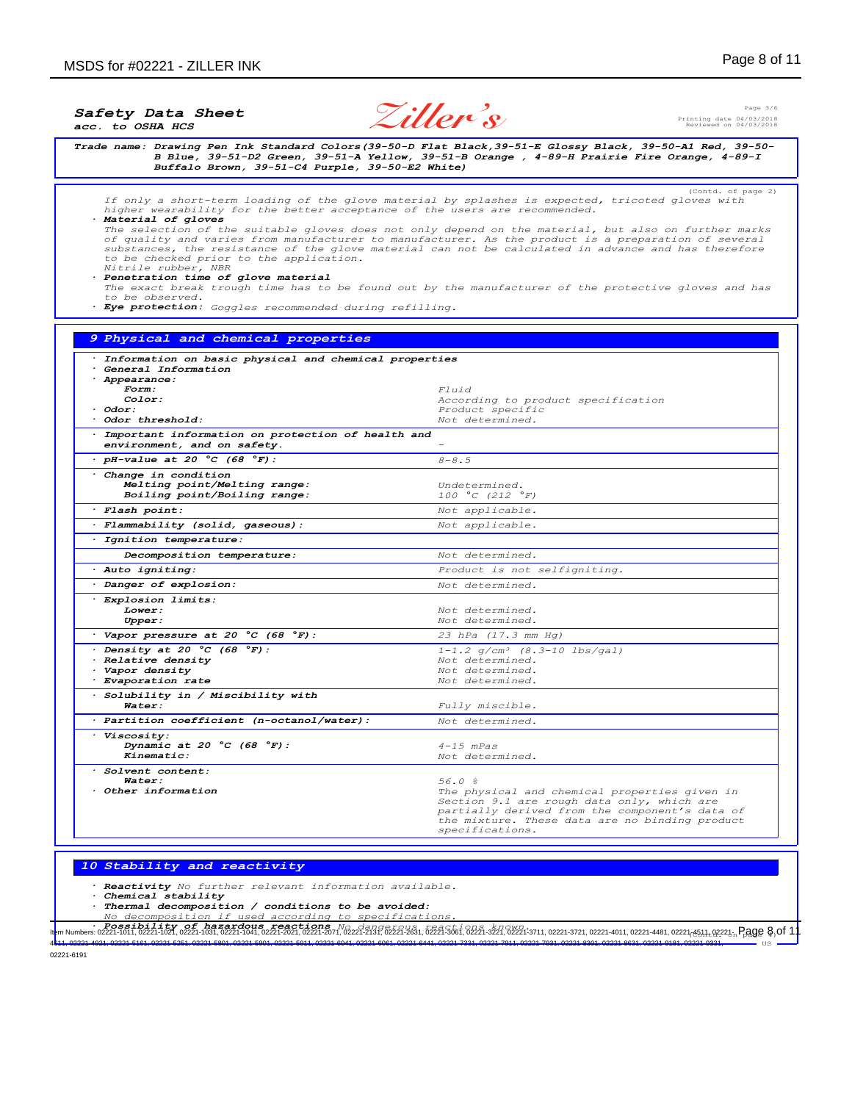**Ziller's**

Page 3/6 Printing date 04/03/2018 Reviewed on 04/03/2018

*Trade name: Drawing Pen Ink Standard Colors(39-50-D Flat Black,39-51-E Glossy Black, 39-50-A1 Red, 39-50- B Blue, 39-51-D2 Green, 39-51-A Yellow, 39-51-B Orange , 4-89-H Prairie Fire Orange, 4-89-I Buffalo Brown, 39-51-C4 Purple, 39-50-E2 White)* (Contd. of page 2) *If only a short-term loading of the glove material by splashes is expected, tricoted gloves with higher wearability for the better acceptance of the users are recommended. · Material of gloves The selection of the suitable gloves does not only depend on the material, but also on further marks of quality and varies from manufacturer to manufacturer. As the product is a preparation of several substances, the resistance of the glove material can not be calculated in advance and has therefore to be checked prior to the application. Nitrile rubber, NBR · Penetration time of glove material The exact break trough time has to be found out by the manufacturer of the protective gloves and has to be observed. · Eye protection: Goggles recommended during refilling. 9 Physical and chemical properties · Information on basic physical and chemical properties · General Information · Appearance: Form: Fluid Color: According to product specification* **and** *odor: Product specific*<br> *Odor threshold:**Product specific · Odor threshold: Not determined. · Important information on protection of health and environment, and on safety. - · pH-value at 20 °C (68 °F): 8-8.5 · Change in condition Melting point/Melting range: Undetermined.*  $B oiling point/B oiling range$ *· Flash point: Not applicable. · Flammability (solid, gaseous): Not applicable. · Ignition temperature: Decomposition temperature: Not determined. · Auto igniting: Product is not selfigniting. · Danger of explosion: Not determined.*  $\frac{1}{\text{Explosion limits:}}$ **Lower:** *Lower: Not determined.*<br> *Upper: Not determined. Upper: Not determined. · Vapor pressure at 20 °C (68 °F): 23 hPa (17.3 mm Hg) Density at 20 °C (68 °F):*  $1-1.2 g/cm³$  (8.3-10 lbs/gal)<br>**Relative density** Not determined. *· Relative density Not determined. Not determined.*<br>*Not determined.*  $E$ *vaporation rate · Solubility in / Miscibility with Water: Fully miscible. · Partition coefficient (n-octanol/water): Not determined. · Viscosity: Dynamic at 20 °C (68 °F): 4-15 mPas Kinematic: Not determined. · Solvent content: Water: 56.0 % · Other information The physical and chemical properties given in Section 9.1 are rough data only, which are partially derived from the component's data of*

*10 Stability and reactivity*

*· Reactivity No further relevant information available.*

*· Chemical stability*

*· Thermal decomposition / conditions to be avoided:*

*No decomposition if used according to specifications.*

**Example 18 and 19 and 19 and 19 and 19 and 19 and 19 and 19 and 19 and 19 and 19 and 19 and 19 and 19 and 19 and 19 and 19 and 19 and 19 and 19 and 19 and 19 and 19 and 19 and 19 and 19 and 19 and 19 and 19 and 19 and 19**  US 4611, 02221-4921, 02221-5161, 02221-5251, 02221-5801, 02221-5901, 02221-5911, 02221-6041, 02221-6061, 02221-6441, 02221-7331, 02221-7911, 02221-7931, 02221-8301, 02221-8631, 02221-9181, 02221-9331,

*specifications.*

*the mixture. These data are no binding product*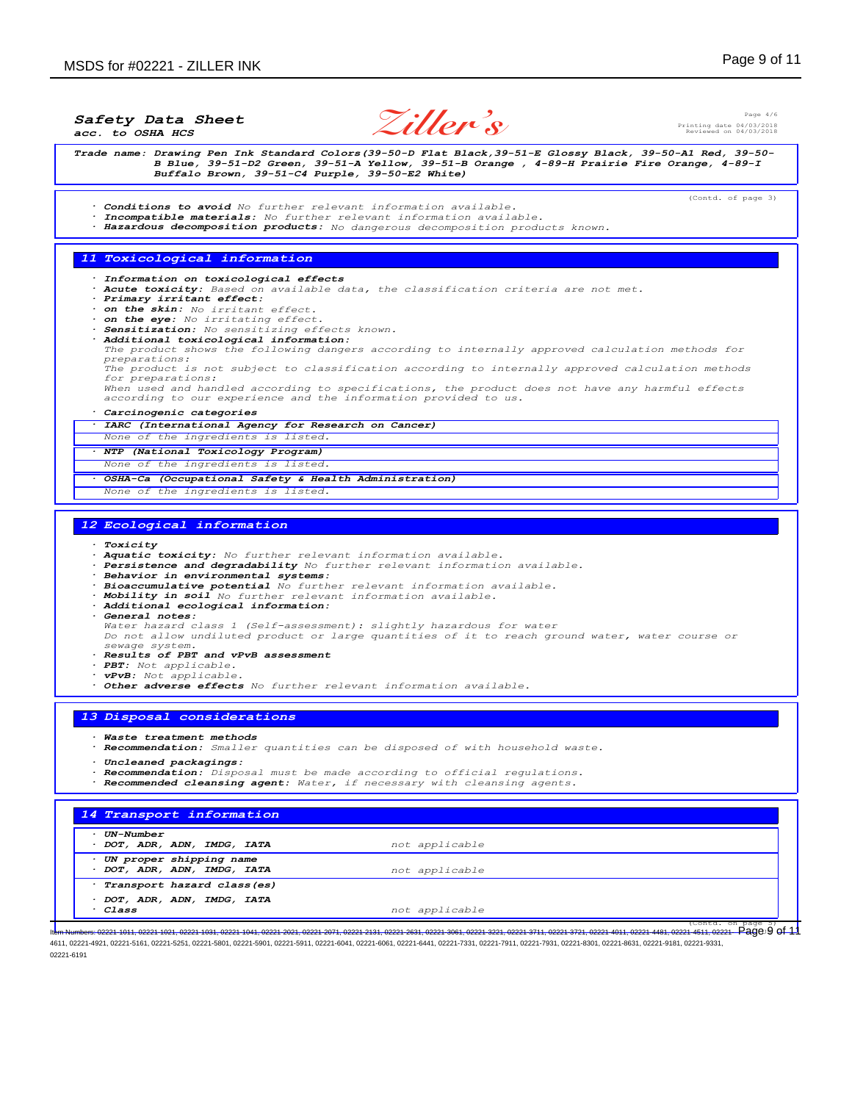*Safety Data Sheet*

*acc. to OSHA HCS*



Page 4/6 Printing date 04/03/2018 Reviewed on 04/03/2018

(Contd. of page 3)

Trade name: Drawing Pen Ink Standard Colors(39-50-D Flat Black, 39-51-E Glossy Black, 39-50-A1 Red, 39-50-<br>B Blue, 39-51-D2 Green, 39-51-A Yellow, 39-51-B Orange , 4-89-H Prairie Fire Orange, 4-89-I<br>Buffalo Brown, 39-51-C4

*11 Toxicological information · Information on toxicological effects · Acute toxicity: Based on available data, the classification criteria are not met. · Primary irritant effect: · on the skin: No irritant effect. · on the eye: No irritating effect. · Sensitization: No sensitizing effects known. · Additional toxicological information: The product shows the following dangers according to internally approved calculation methods for preparations: The product is not subject to classification according to internally approved calculation methods for preparations:*

*· Hazardous decomposition products: No dangerous decomposition products known.*

*· Conditions to avoid No further relevant information available. · Incompatible materials: No further relevant information available.*

*When used and handled according to specifications, the product does not have any harmful effects according to our experience and the information provided to us.*

#### *· Carcinogenic categories*

- *· IARC (International Agency for Research on Cancer)*
- *None of the ingredients is listed.*
- *· NTP (National Toxicology Program)*
- *None of the ingredients is listed.*
- *· OSHA-Ca (Occupational Safety & Health Administration)*
- *None of the ingredients is listed.*

#### *12 Ecological information*

- *· Toxicity*
- *· Aquatic toxicity: No further relevant information available.*
- *· Persistence and degradability No further relevant information available.*
- *· Behavior in environmental systems:*
- *· Bioaccumulative potential No further relevant information available.*
- *· Mobility in soil No further relevant information available. · Additional ecological information:*
- 
- *· General notes:*

*Water hazard class 1 (Self-assessment): slightly hazardous for water Do not allow undiluted product or large quantities of it to reach ground water, water course or*

- *sewage system. · Results of PBT and vPvB assessment*
- *· PBT: Not applicable.*
- *· vPvB: Not applicable.*
- *· Other adverse effects No further relevant information available.*

## *13 Disposal considerations*

- *· Waste treatment methods*
- *· Recommendation: Smaller quantities can be disposed of with household waste.*
- *· Uncleaned packagings:*
- *· Recommendation: Disposal must be made according to official regulations.*
- *· Recommended cleansing agent: Water, if necessary with cleansing agents.*

| <i><b>UN-Number</b></i>     |                |  |
|-----------------------------|----------------|--|
| DOT, ADR, ADN, IMDG, IATA   | not applicable |  |
| UN proper shipping name     |                |  |
| DOT, ADR, ADN, IMDG, IATA   | not applicable |  |
| Transport hazard class (es) |                |  |
| DOT, ADR, ADN, IMDG, IATA   |                |  |
| · Class                     | not applicable |  |

(Contd. on page 5)<br>1-4511,02221 - Page 9 of 11 Item Numbers: 02221-1011, 02221-1021, 02221-1031, 02221-1041, 02221-2021, 02221-2071, 02221-2131, 02221-2631, 02221-3061, 02221-3221, 02221-3711, 02221-3721, 02221-4011, 02221-4481, 02221-4511, 02221- 4611, 02221-4921, 02221-5161, 02221-5251, 02221-5801, 02221-5901, 02221-5911, 02221-6041, 02221-6061, 02221-6441, 02221-7331, 02221-7911, 02221-7931, 02221-8301, 02221-8631, 02221-9181, 02221-9331, 02221-6191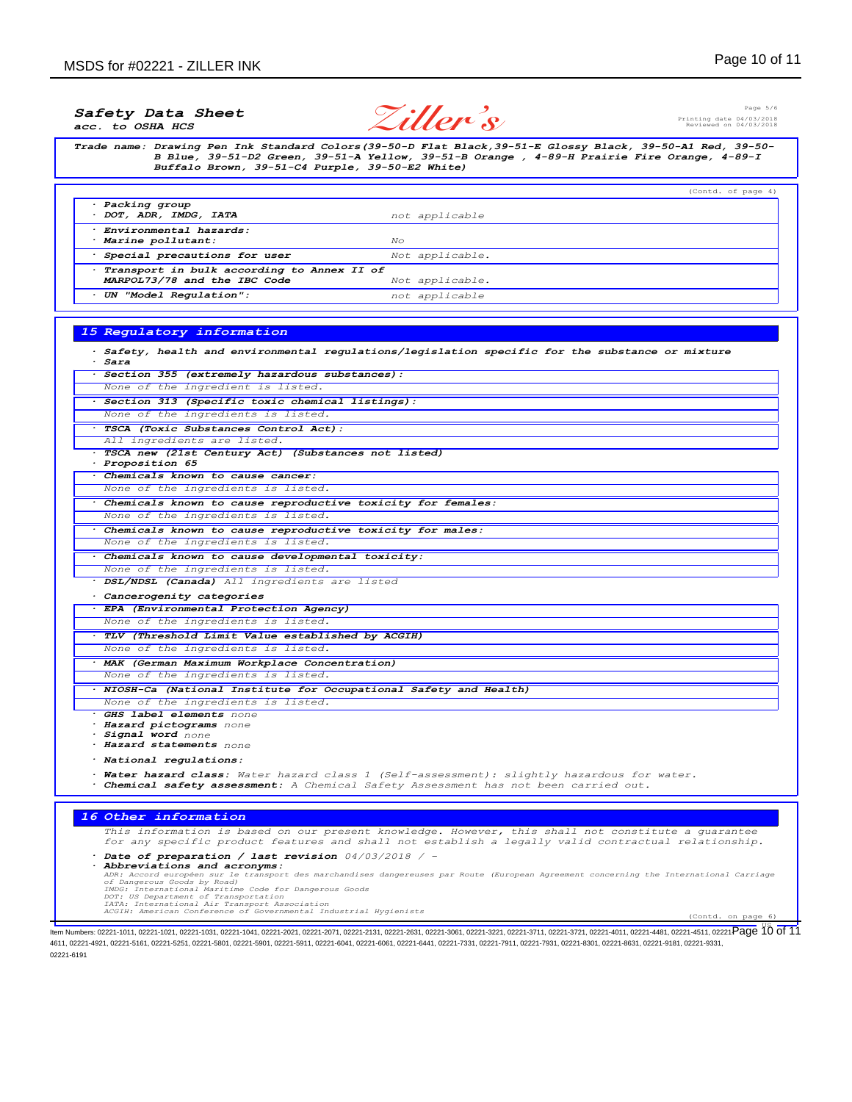## Page 5/6 Printing date 04/03/2018 Reviewed on 04/03/2018 *Safety Data Sheet acc. to OSHA HCS Trade name: Drawing Pen Ink Standard Colors(39-50-D Flat Black,39-51-E Glossy Black, 39-50-A1 Red, 39-50- B Blue, 39-51-D2 Green, 39-51-A Yellow, 39-51-B Orange , 4-89-H Prairie Fire Orange, 4-89-I Buffalo Brown, 39-51-C4 Purple, 39-50-E2 White)* (Contd. of page 4) *· Packing group · DOT, ADR, IMDG, IATA not applicable · Environmental hazards: · Marine pollutant: No · Special precautions for user Not applicable. · Transport in bulk according to Annex II of MARPOL73/78 and the IBC Code Not applicable. · UN "Model Regulation": not applicable 15 Regulatory information · Safety, health and environmental regulations/legislation specific for the substance or mixture · Sara · Section 355 (extremely hazardous substances): None of the ingredient is listed. · Section 313 (Specific toxic chemical listings): None of the ingredients is listed. · TSCA (Toxic Substances Control Act): All ingredients are listed.* **Ziller's**

*· TSCA new (21st Century Act) (Substances not listed) · Proposition 65*

*· Chemicals known to cause cancer:*

*None of the ingredients is listed.*

*· Chemicals known to cause reproductive toxicity for females: None of the ingredients is listed.*

*· Chemicals known to cause reproductive toxicity for males: None of the ingredients is listed.*

*· Chemicals known to cause developmental toxicity:*

*None of the ingredients is listed.*

*· DSL/NDSL (Canada) All ingredients are listed*

*· Cancerogenity categories*

*· EPA (Environmental Protection Agency)*

*None of the ingredients is listed.*

*· TLV (Threshold Limit Value established by ACGIH)*

*None of the ingredients is listed.*

*· MAK (German Maximum Workplace Concentration)*

*None of the ingredients is listed.*

*· NIOSH-Ca (National Institute for Occupational Safety and Health)*

*None of the ingredients is listed.*

*· GHS label elements none*

*· Hazard pictograms none · Signal word none*

*· Hazard statements none*

*· National regulations:*

*· Water hazard class: Water hazard class 1 (Self-assessment): slightly hazardous for water.*

*· Chemical safety assessment: A Chemical Safety Assessment has not been carried out.*

## *16 Other information*

*This information is based on our present knowledge. However, this shall not constitute a guarantee for any specific product features and shall not establish a legally valid contractual relationship.*

Date of preparation / last revision  $04/03/2018$  / -<br>Abbreviations and acronyms:

**· Abbreviations and acronyms:**<br>ADR: Accord européen sur le transport des marchandises dangereuses par Route (European Agreement concerning the International Carriage<br>of Dangerous Goods by Road)<br>IMDG: International Maritim

*DOT: US Department of Transportation IATA: International Air Transport Association ACGIH: American Conference of Governmental Industrial Hygienists* (Contd. on page 6)

LS US DE 20221-1011, 02221-1021, 02221-1031, 02221-1041, 02221-2021, 02221-2071, 02221-2131, 02221-2631, 02221-3061, 02221-3221, 02221-3721, 02221-3721, 02221-4481, 02221-4481, 02221-4511, 02221-9510 Of 11 4611, 02221-4921, 02221-5161, 02221-5251, 02221-5801, 02221-5901, 02221-5911, 02221-6041, 02221-6061, 02221-6441, 02221-7331, 02221-7911, 02221-7931, 02221-8301, 02221-8631, 02221-9181, 02221-9331, 02221-6191